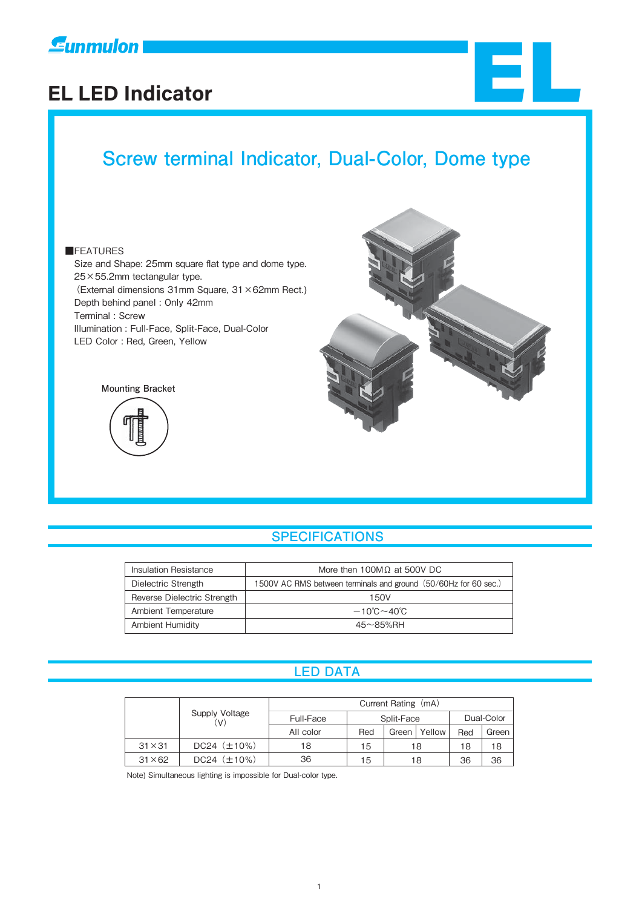

# **EL LED Indicator** EL

# **Screw terminal Indicator, Dual-Color, Dome type**

#### ■FEATURES

 Size and Shape: 25mm square flat type and dome type. 25×55.2mm tectangular type. (External dimensions 31mm Square, 31×62mm Rect.) Depth behind panel : Only 42mm Terminal : Screw Illumination : Full-Face, Split-Face, Dual-Color LED Color : Red, Green, Yellow





#### **SPECIFICATIONS**

| Insulation Resistance       | More then 100MΩ at 500V DC                                      |  |
|-----------------------------|-----------------------------------------------------------------|--|
| Dielectric Strength         | 1500V AC RMS between terminals and ground (50/60Hz for 60 sec.) |  |
| Reverse Dielectric Strength | 150V                                                            |  |
| Ambient Temperature         | $-10^{\circ}$ C $\sim$ 40 $^{\circ}$ C                          |  |
| Ambient Humidity            | $45 \sim 85\%$ RH                                               |  |

#### **LED DATA**

|                |                     | Current Rating (mA) |            |       |            |     |       |
|----------------|---------------------|---------------------|------------|-------|------------|-----|-------|
|                | Supply Voltage      | Full-Face           | Split-Face |       | Dual-Color |     |       |
|                |                     | All color           | Red        | Green | Yellow     | Red | Green |
| $31 \times 31$ | $DC24$ $(\pm 10\%)$ | 18                  | 15         |       | 18         | 18  | 18    |
| $31 \times 62$ | $DC24$ $(\pm 10\%)$ | 36                  | 15         |       | 18         | 36  | 36    |

Note) Simultaneous lighting is impossible for Dual-color type.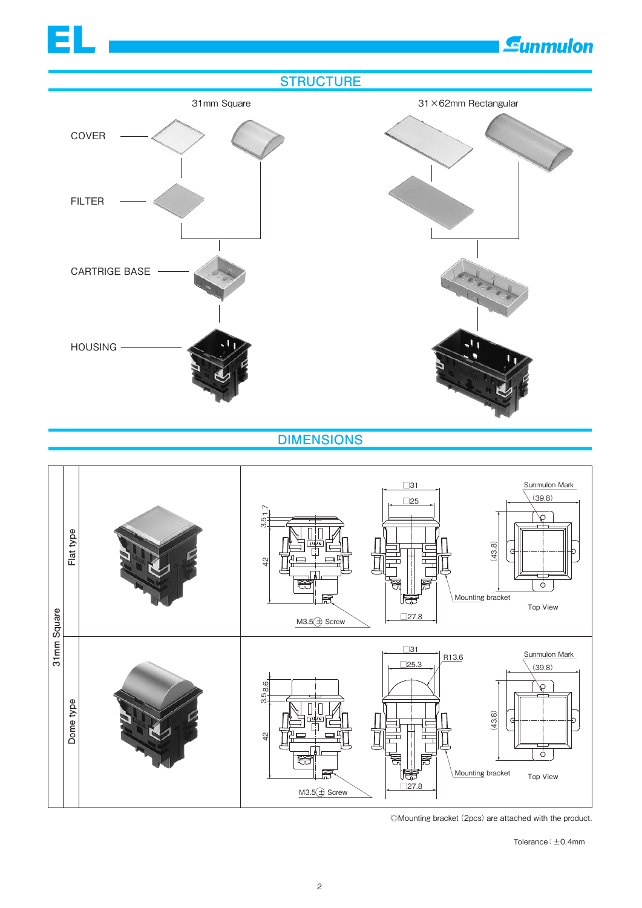

<sup>©</sup>Mounting bracket (2pcs) are attached with the product.

Tolerance:±0.4mm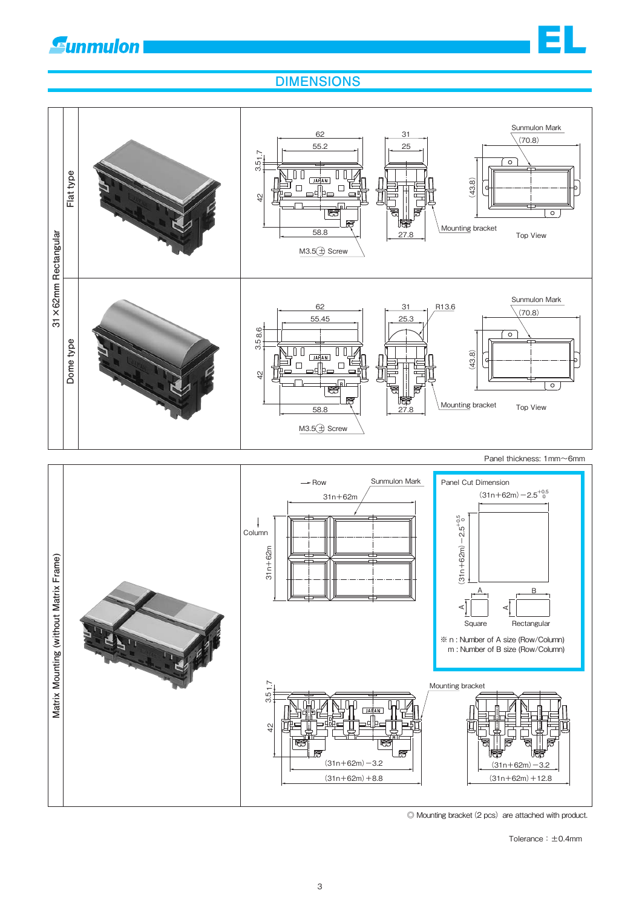

### **DIMENSIONS**



◎ Mounting bracket(2 pcs) are attached with product.

Tolerance:±0.4mm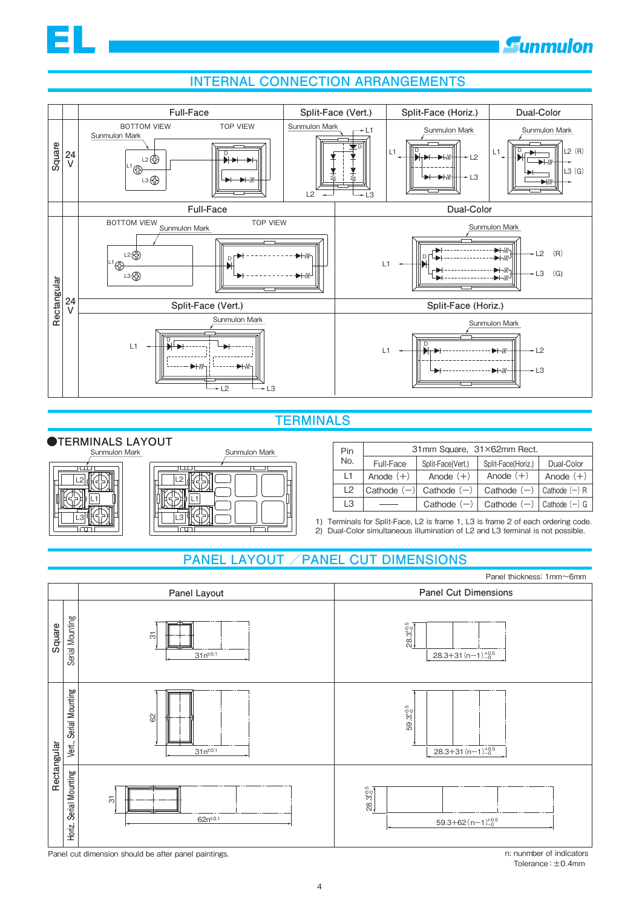#### **INTERNAL CONNECTION ARRANGEMENTS**



#### **TERMINALS**

#### **●TERMINALS LAYOUT**

EL

| Sunmulon Mark | Sunmulon Mark |
|---------------|---------------|
| п             |               |

| Pin       | 31mm Square, 31×62mm Rect. |                   |                                 |             |
|-----------|----------------------------|-------------------|---------------------------------|-------------|
| No.       | Full-Face                  | Split-Face(Vert.) | Split-Face(Horiz.)              | Dual-Color  |
| $\vert$ 1 | Anode $(+)$                | Anode $(+)$       | Anode $(+)$                     | Anode $(+)$ |
| 12        | Cathode $(-)$              | Cathode $(-)$     | Cathode $(-)$   Cathode $(-)$ R |             |
| L3        |                            | Cathode $(-)$     | Cathode $(-)$   Cathode $(-)$ G |             |

1) Terminals for Split-Face, L2 is frame 1, L3 is frame 2 of each ordering code. 2) Dual-Color simultaneous illumination of L2 and L3 terminal is not possible.

#### **PANEL LAYOUT /PANEL CUT DIMENSIONS**



Tolerance:±0.4mm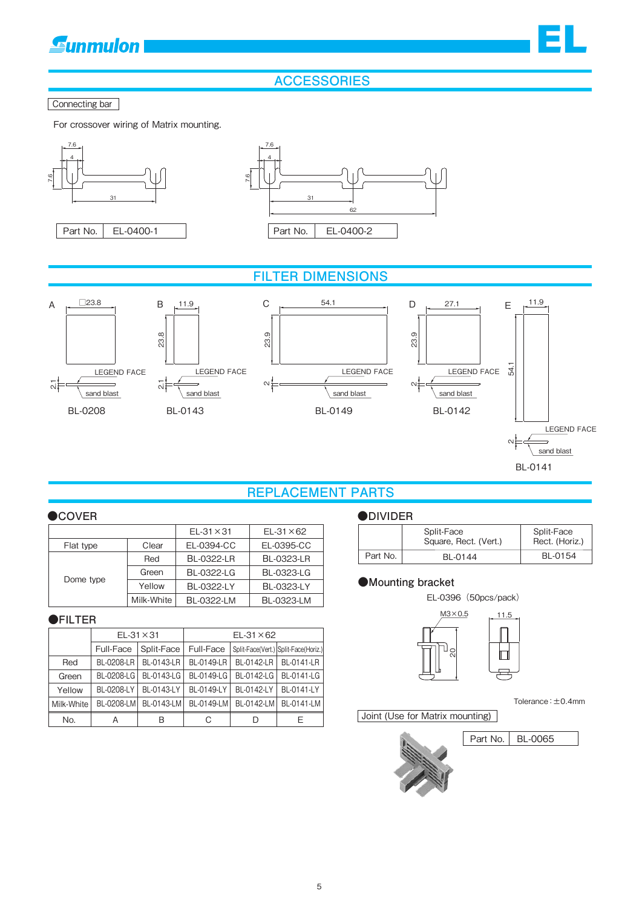EL

#### **ACCESSORIES**

#### Connecting bar

For crossover wiring of Matrix mounting.



BL-0141

#### **REPLACEMENT PARTS**

#### **●COVER ●DIVIDER**

|           |            | $EL-31 \times 31$ | $EL-31 \times 62$ |
|-----------|------------|-------------------|-------------------|
| Flat type | Clear      | EL-0394-CC        | EL-0395-CC        |
| Dome type | Red        | <b>BL-0322-LR</b> | <b>BL-0323-LR</b> |
|           | Green      | <b>BL-0322-LG</b> | BL-0323-LG        |
|           | Yellow     | BL-0322-LY        | <b>BL-0323-LY</b> |
|           | Milk-White | BL-0322-LM        | BL-0323-LM        |

#### **●FILTER**

|            | $EL-31 \times 31$ |            | $EL-31 \times 62$ |            |                                      |
|------------|-------------------|------------|-------------------|------------|--------------------------------------|
|            | Full-Face         | Split-Face | Full-Face         |            | Split-Face(Vert.) Split-Face(Horiz.) |
| Red        | BL-0208-LR        | BL-0143-LR | BL-0149-LR        | BL-0142-LR | BL-0141-LR                           |
| Green      | BL-0208-LG        | BL-0143-LG | BL-0149-LG        | BL-0142-LG | BL-0141-LG                           |
| Yellow     | BL-0208-LY        | BL-0143-LY | BL-0149-LY        | BL-0142-LY | BL-0141-LY                           |
| Milk-White | BL-0208-LM        | BL-0143-LM | BL-0149-LM        | BL-0142-LM | BL-0141-LM                           |
| No.        | А                 | B          | С                 | D          | F                                    |

|          | Split-Face<br>Square, Rect. (Vert.) | Split-Face<br>Rect. (Horiz.) |
|----------|-------------------------------------|------------------------------|
| Part No. | BL-0144                             | BL-0154                      |

#### **●Mounting bracket**

EL-0396(50pcs/pack)



Tolerance:±0.4mm

Joint (Use for Matrix mounting)



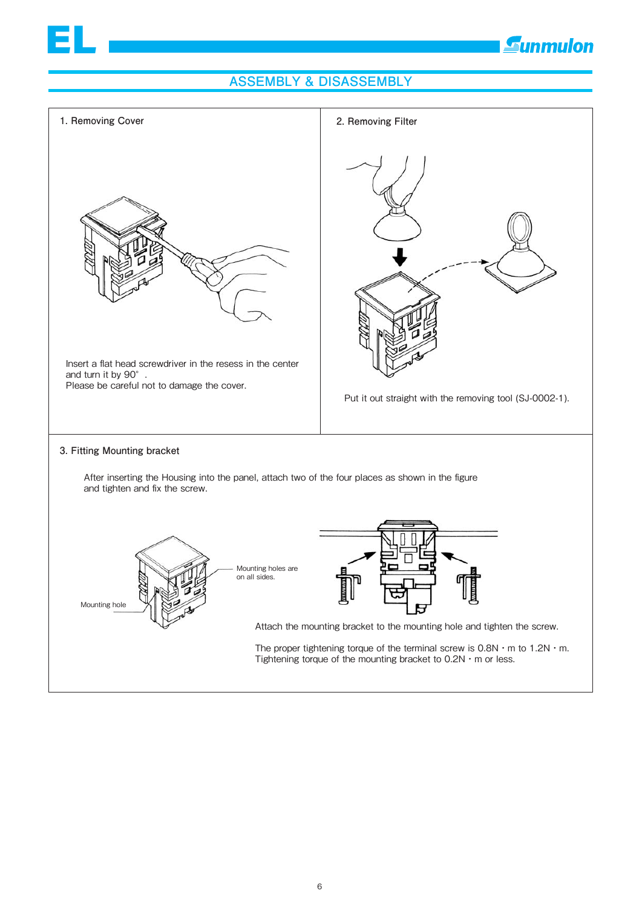## **Eunmulon**

#### **ASSEMBLY & DISASSEMBLY**

EL